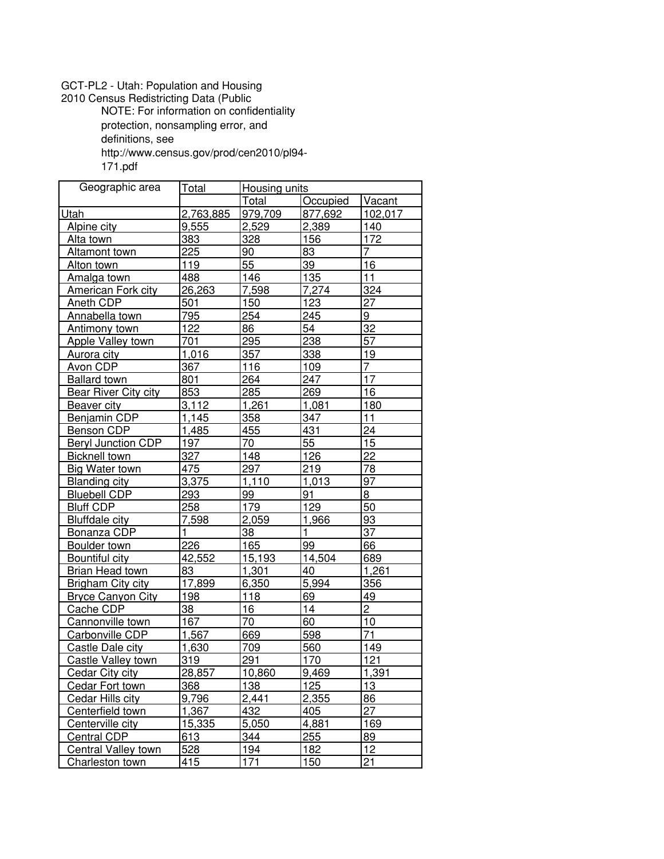## GCT−PL2 − Utah: Population and Housing

2010 Census Redistricting Data (Public

NOTE: For information on confidentiality

protection, nonsampling error, and

definitions, see

http://www.census.gov/prod/cen2010/pl94−

171.pdf

| Geographic area             | Total        | <b>Housing units</b> |              |                |
|-----------------------------|--------------|----------------------|--------------|----------------|
|                             |              | Total                | Occupied     | Vacant         |
| Utah                        | 2,763,885    | 979,709              | 877,692      | 102,017        |
| Alpine city                 | 9,555        | 2,529                | 2,389        | 140            |
| Alta town                   | 383          | 328                  | 156          | 172            |
| Altamont town               | 225          | 90                   | 83           | 7              |
| Alton town                  | 119          | 55                   | 39           | 16             |
| Amalga town                 | 488          | 146                  | 135          | 11             |
| American Fork city          | 26,263       | 7,598                | 7,274        | 324            |
| Aneth CDP                   | 501          | 150                  | 123          | 27             |
| Annabella town              | 795          | 254                  | 245          | 9              |
| Antimony town               | 122          | 86                   | 54           | 32             |
| Apple Valley town           | 701          | 295                  | 238          | 57             |
| Aurora city                 | 1,016        | 357                  | 338          | 19             |
| Avon CDP                    | 367          | 116                  | 109          | 7              |
| <b>Ballard town</b>         | 801          | 264                  | 247          | 17             |
| <b>Bear River City city</b> | 853          | 285                  | 269          | 16             |
| <b>Beaver city</b>          | 3,112        | 1,261                | 1,081        | 180            |
| Benjamin CDP                | 1,145        | 358                  | 347          | 11             |
| Benson CDP                  | 1,485        | 455                  | 431          | 24             |
| <b>Beryl Junction CDP</b>   | 197          | 70                   | 55           | 15             |
| <b>Bicknell town</b>        | 327          | 148                  | 126          | 22             |
| <b>Big Water town</b>       | 475          | 297                  | 219          | 78             |
| <b>Blanding city</b>        | 3,375        | 1,110                | 1,013        | 97             |
| <b>Bluebell CDP</b>         | 293          | 99                   | 91           | 8              |
| <b>Bluff CDP</b>            | 258          | 179                  | 129          | 50             |
| <b>Bluffdale city</b>       | 7,598        | 2,059                | 1,966        | 93             |
| Bonanza CDP                 | $\mathbf{1}$ | 38                   | $\mathbf{1}$ | 37             |
| Boulder town                | 226          | 165                  | 99           | 66             |
| Bountiful city              | 42,552       | 15,193               | 14,504       | 689            |
| <b>Brian Head town</b>      | 83           | 1,301                | 40           | 1,261          |
| <b>Brigham City city</b>    | 17,899       | 6,350                | 5,994        | 356            |
| <b>Bryce Canyon City</b>    | 198          | 118                  | 69           | 49             |
| Cache CDP                   | 38           | 16                   | 14           | $\overline{2}$ |
| Cannonville town            | 167          | 70                   | 60           | 10             |
| Carbonville CDP             | 1,567        | 669                  | 598          | 71             |
| Castle Dale city            | 1,630        | 709                  | 560          | 149            |
| Castle Valley town          | 319          | 291                  | 170          | 121            |
| <b>Cedar City city</b>      | 28,857       | 10,860               | 9,469        | 1,391          |
| <b>Cedar Fort town</b>      | 368          | 138                  | 125          | 13             |
| Cedar Hills city            | 9,796        | 2.441                | 2,355        | 86             |
| Centerfield town            | 1,367        | 432                  | 405          | 27             |
| Centerville city            | 15,335       | 5,050                | 4,881        | 169            |
| Central CDP                 | 613          | 344                  | 255          | 89             |
| Central Valley town         | 528          | 194                  | 182          | 12             |
| Charleston town             | 415          | 171                  | 150          | 21             |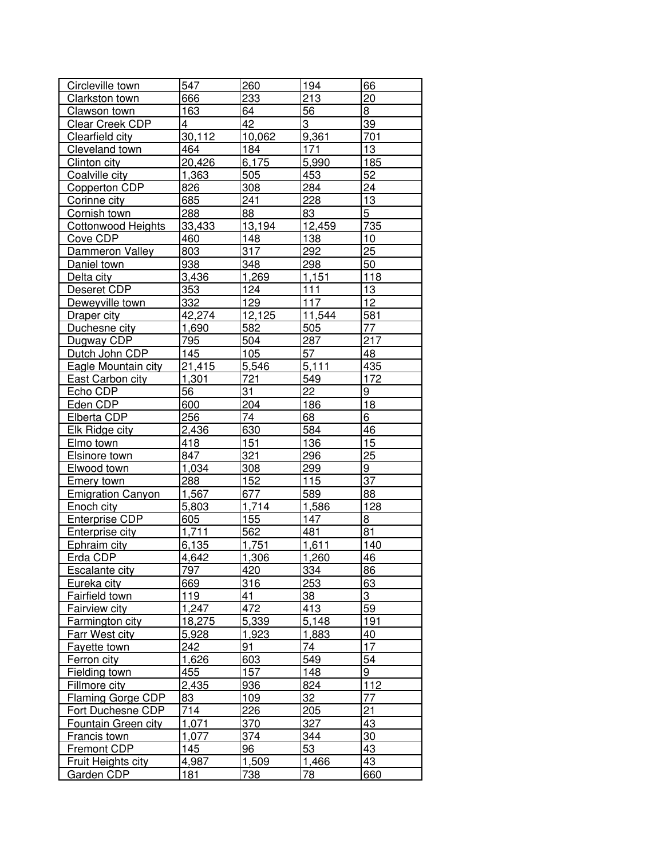| Circleville town                      | 547    | 260    | 194    | 66             |
|---------------------------------------|--------|--------|--------|----------------|
| Clarkston town                        | 666    | 233    | 213    | 20             |
| Clawson town                          | 163    | 64     | 56     | 8              |
| Clear Creek CDP                       | 4      | 42     | 3      | 39             |
| Clearfield city                       | 30,112 | 10,062 | 9,361  | 701            |
| Cleveland town                        | 464    | 184    | 171    | 13             |
| Clinton city                          | 20,426 | 6,175  | 5,990  | 185            |
| Coalville city                        | 1,363  | 505    | 453    | 52             |
| Copperton CDP                         | 826    | 308    | 284    | 24             |
| Corinne city                          | 685    | 241    | 228    | 13             |
| Cornish town                          | 288    | 88     | 83     | 5              |
| Cottonwood Heights                    | 33,433 | 13,194 | 12,459 | 735            |
| Cove CDP                              | 460    | 148    | 138    | 10             |
| Dammeron Valley                       | 803    | 317    | 292    | 25             |
| Daniel town                           | 938    | 348    | 298    | 50             |
| Delta city                            | 3,436  | 1,269  | 1,151  | 118            |
| Deseret <sub>CDP</sub>                | 353    | 124    | 111    | 13             |
| Deweyville town                       | 332    | 129    | 117    | 12             |
| Draper city                           | 42,274 | 12,125 | 11,544 | 581            |
| Duchesne city                         | 1,690  | 582    | 505    | 77             |
| Dugway CDP                            | 795    | 504    | 287    | 217            |
| Dutch John CDP                        | 145    | 105    | 57     | 48             |
| Eagle Mountain city                   | 21,415 | 5,546  | 5,111  | 435            |
| <b>East Carbon city</b>               | 1,301  | 721    | 549    | 172            |
| Echo CDP                              | 56     | 31     | 22     | 9              |
| Eden CDP                              | 600    | 204    | 186    | 18             |
| Elberta CDP                           | 256    | 74     | 68     | 6              |
| <b>Elk Ridge city</b>                 | 2,436  | 630    | 584    | 46             |
| Elmo town                             | 418    | 151    | 136    | 15             |
| Elsinore town                         | 847    | 321    | 296    | 25             |
| Elwood town                           | 1,034  | 308    | 299    | $\overline{9}$ |
| <b>Emery town</b>                     | 288    | 152    | 115    | 37             |
| <b>Emigration Canyon</b>              | 1,567  | 677    | 589    | 88             |
| Enoch city                            | 5,803  | 1,714  | 1,586  | 128            |
| <b>Enterprise CDP</b>                 | 605    | 155    | 147    | 8              |
| Enterprise city                       | 1,711  | 562    | 481    | 81             |
| <b>Ephraim city</b>                   | 6,135  | 1,751  | 1,611  | 140            |
| Erda CDP                              | 4,642  | 1,306  | 1,260  | 46             |
| Escalante city                        | 797    | 420    | 334    | 86             |
| Eureka city                           | 669    | 316    | 253    | 63             |
| Fairfield town                        | 119    | 41     | 38     | 3              |
| Fairview city                         | 1,247  | 472    | 413    | 59             |
| Farmington city                       | 18,275 | 5,339  | 5,148  | 191            |
|                                       | 5,928  | 1,923  | 1,883  | 40             |
| <b>Farr West city</b><br>Fayette town | 242    | 91     | 74     | 17             |
|                                       |        |        |        |                |
| Ferron city                           | 1,626  | 603    | 549    | 54             |
| Fielding town                         | 455    | 157    | 148    | 9              |
| Fillmore city                         | 2,435  | 936    | 824    | 112            |
| Flaming Gorge CDP                     | 83     | 109    | 32     | 77             |
| Fort Duchesne CDP                     | 714    | 226    | 205    | 21             |
| Fountain Green city                   | 1,071  | 370    | 327    | 43             |
| <b>Francis town</b>                   | 1,077  | 374    | 344    | 30             |
| Fremont CDP                           | 145    | 96     | 53     | 43             |
| <b>Fruit Heights city</b>             | 4,987  | 1,509  | 1,466  | 43             |
| Garden CDP                            | 181    | 738    | 78     | 660            |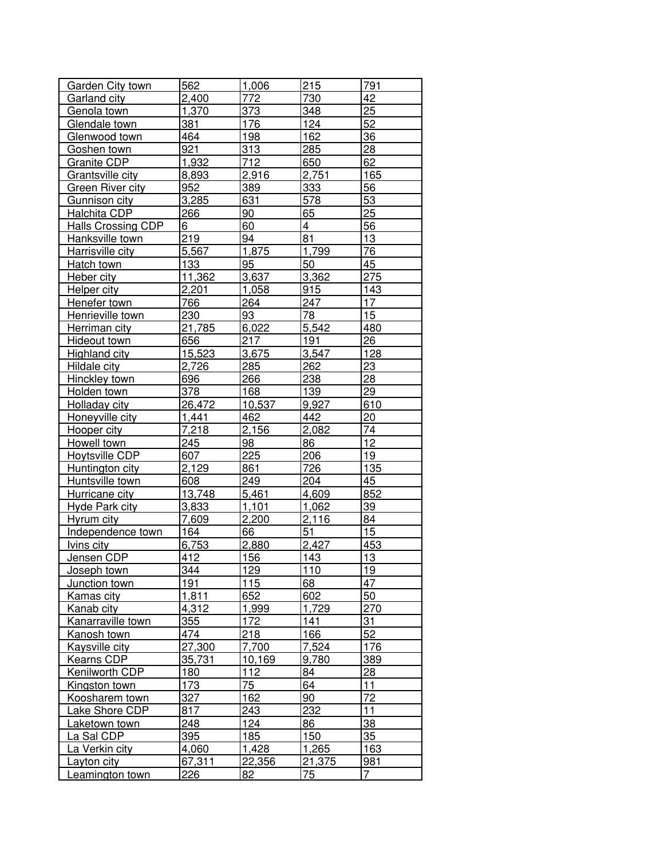|                                  | 562    |              | 215             | 791       |
|----------------------------------|--------|--------------|-----------------|-----------|
| Garden City town<br>Garland city | 2,400  | 1,006<br>772 | 730             | 42        |
| Genola town                      | 1,370  | 373          | 348             | 25        |
| Glendale town                    | 381    | 176          | 124             | 52        |
|                                  | 464    | 198          | 162             | 36        |
| Glenwood town                    |        | 313          |                 |           |
| Goshen town                      | 921    |              | 285             | 28        |
| Granite CDP                      | 1,932  | 712          | 650             | 62        |
| Grantsville city                 | 8,893  | 2,916        | 2,751           | 165       |
| Green River city                 | 952    | 389          | 333             | 56        |
| Gunnison city                    | 3,285  | 631          | 578             | 53        |
| Halchita CDP                     | 266    | 90           | 65              | 25        |
| <b>Halls Crossing CDP</b>        | 6      | 60           | 4               | 56        |
| Hanksville town                  | 219    | 94           | $\overline{8}1$ | 13        |
| Harrisville city                 | 5,567  | 1,875        | 1,799           | 76        |
| Hatch town                       | 133    | 95           | 50              | 45        |
| Heber city                       | 11,362 | 3,637        | 3,362           | 275       |
| Helper city                      | 2,201  | 1,058        | 915             | 143       |
| Henefer town                     | 766    | 264          | 247             | 17        |
| Henrieville town                 | 230    | 93           | 78              | 15        |
| Herriman city                    | 21,785 | 6,022        | 5,542           | 480       |
| Hideout town                     | 656    | 217          | 191             | 26        |
| Highland city                    | 15,523 | 3,675        | 3,547           | 128       |
| Hildale city                     | 2,726  | 285          | 262             | 23        |
| Hinckley town                    | 696    | 266          | 238             | 28        |
| Holden town                      | 378    | 168          | 139             | 29        |
| Holladay city                    | 26,472 | 10,537       | 9,927           | 610       |
| Honeyville city                  | 1,441  | 462          | 442             | 20        |
| Hooper city                      | 7,218  | 2,156        | 2,082           | 74        |
| Howell town                      | 245    | 98           | 86              | 12        |
| Hoytsville CDP                   | 607    | 225          | 206             | 19        |
| Huntington city                  | 2,129  | 861          | 726             | 135       |
| Huntsville town                  | 608    | 249          | 204             | 45        |
| Hurricane city                   | 13,748 | 5,461        | 4,609           | 852       |
| <b>Hyde Park city</b>            | 3,833  | 1,101        | 1,062           | 39        |
| Hyrum city                       | 7,609  | 2,200        | 2,116           | 84        |
| Independence town                | 164    | 66           | 51              | 15        |
| <u>Ivins city</u>                | 6,753  | 2,880        | 2,427           | 453       |
| Jensen CDP                       | 412    | 156          | 143             | 13        |
| Joseph town                      | 344    | 129          | 110             | 19        |
| Junction town                    | 191    | 115          | 68              | 47        |
| Kamas city                       | 1,811  | 652          | 602             | 50        |
| Kanab city                       | 4,312  | 1,999        | 1,729           | 270       |
| Kanarraville town                | 355    | 172          | 141             | 31        |
| Kanosh town                      | 474    | 218          | 166             | 52        |
| <b>Kaysville city</b>            | 27,300 | 7,700        | 7,524           | 176       |
| Kearns CDP                       | 35,731 | 10,169       | 9,780           | 389       |
| Kenilworth CDP                   | 180    | 112          | 84              | <u>28</u> |
| Kingston town                    | 173    | 75           | 64              | 11        |
| Koosharem town                   | 327    | 162          | 90              | 72        |
| Lake Shore CDP                   | 817    | 243          | 232             | 11        |
|                                  | 248    | 124          | 86              | 38        |
| Laketown town                    | 395    |              |                 | 35        |
| La Sal CDP                       |        | 185          | 150             |           |
| La Verkin city                   | 4,060  | 1,428        | 1,265           | 163       |
| Layton city                      | 67,311 | 22,356       | 21,375          | 981       |
| Leamington town                  | 226    | 82           | 75              | 7         |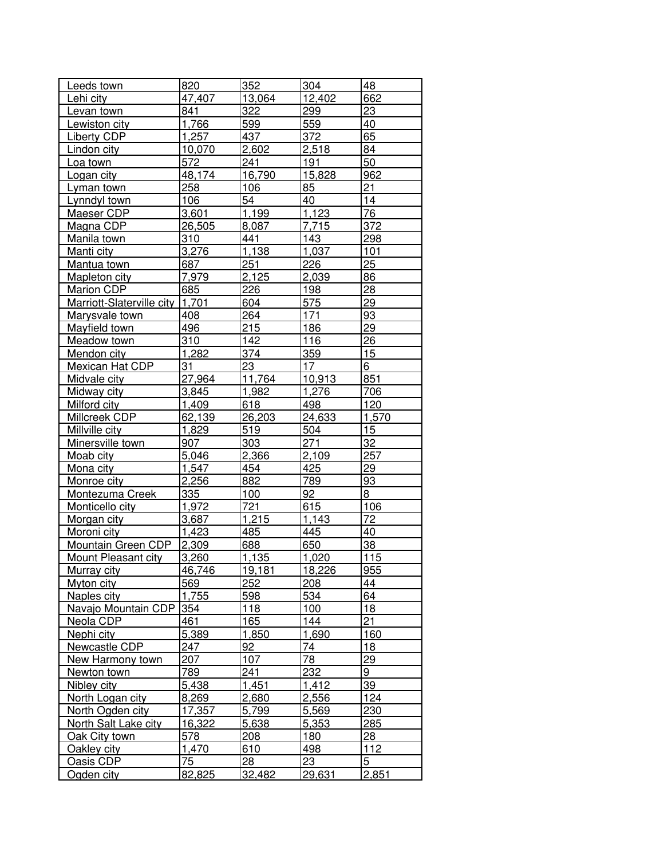| Leeds town                                    | 820    | 352    | 304        | 48              |
|-----------------------------------------------|--------|--------|------------|-----------------|
| Lehi city                                     | 47,407 | 13,064 | 12,402     | 662             |
| Levan town                                    | 841    | 322    | 299        | 23              |
| Lewiston city                                 | 1,766  | 599    | 559        | 40              |
| Liberty CDP                                   | 1,257  | 437    | 372        | 65              |
| Lindon city                                   | 10,070 | 2,602  | 2,518      | 84              |
|                                               | 572    | 241    | 191        | 50              |
| Loa town                                      | 48,174 | 16,790 | 15,828     |                 |
| Logan city                                    | 258    | 106    | 85         | 962<br>21       |
| Lyman town<br>Lynndyl town                    | 106    | 54     | 40         | $\overline{14}$ |
|                                               | 3,601  | 1,199  | 1,123      | 76              |
| Maeser CDP                                    | 26,505 | 8,087  | 7,715      | 372             |
| <u>Magna CDP</u><br>Manila town               | 310    | 441    | 143        | 298             |
|                                               | 3,276  | 1,138  | 1,037      | 101             |
| Manti city                                    | 687    | 251    | 226        | 25              |
| <u>Mantua town</u>                            |        | 2,125  |            |                 |
| Mapleton city                                 | 7,979  |        | 2,039      | 86<br>28        |
| Marion CDP<br>Marriott-Slaterville city 1,701 | 685    | 226    | 198        |                 |
|                                               |        | 604    | 575        | 29              |
| Marysvale town                                | 408    | 264    | 171<br>186 | 93              |
| Mayfield town                                 | 496    | 215    |            | 29              |
| <b>Meadow town</b>                            | 310    | 142    | 116        | 26              |
| Mendon city                                   | 1,282  | 374    | 359        | 15              |
| Mexican Hat CDP                               | 31     | 23     | 17         | 6               |
| Midvale city                                  | 27,964 | 11,764 | 10,913     | 851             |
| Midway city                                   | 3,845  | 1,982  | 1,276      | 706             |
| Milford city                                  | 1,409  | 618    | 498        | 120             |
| Millcreek CDP                                 | 62,139 | 26,203 | 24,633     | 1,570           |
| Millville city                                | 1,829  | 519    | 504        | 15              |
| Minersville town                              | 907    | 303    | 271        | 32              |
| Moab city                                     | 5,046  | 2,366  | 2,109      | 257             |
| Mona city                                     | 1,547  | 454    | 425        | 29              |
| Monroe city                                   | 2,256  | 882    | 789        | 93              |
| Montezuma Creek                               | 335    | 100    | 92         | 8               |
| <b>Monticello city</b>                        | 1,972  | 721    | 615        | 106             |
| <u>Morgan city</u>                            | 3,687  | 1,215  | 1,143      | 72              |
| Moroni city                                   | 1,423  | 485    | 445        | 40              |
| Mountain Green CDP                            | 2,309  | 688    | 650        | 38              |
| Mount Pleasant city                           | 3,260  | 1.135  | 1,020      | 115             |
| Murray city                                   | 46,746 | 19,181 | 18,226     | 955             |
| <u>Myton city</u>                             | 569    | 252    | 208        | 44              |
| Naples city                                   | 1,755  | 598    | 534        | 64              |
| Navajo Mountain CDP                           | 354    | 118    | 100        | 18              |
| Neola CDP                                     | 461    | 165    | 144        | 21              |
| Nephi city                                    | 5,389  | 1,850  | 1,690      | 160             |
| Newcastle CDP                                 | 247    | 92     | 74         | 18              |
| <b>New Harmony town</b>                       | 207    | 107    | 78         | 29              |
| Newton town                                   | 789    | 241    | 232        | 9               |
| Nibley city                                   | 5,438  | 1,451  | 1,412      | 39              |
| North Logan city                              | 8,269  | 2,680  | 2,556      | 124             |
| North Ogden city                              | 17,357 | 5,799  | 5,569      | 230             |
| <b>North Salt Lake city</b>                   | 16,322 | 5,638  | 5,353      | 285             |
| Oak City town                                 | 578    | 208    | 180        | 28              |
| Oakley city                                   | 1,470  | 610    | 498        | 112             |
| Oasis CDP<br>Ogden city                       | 75     | 28     | 23         | 5               |
|                                               | 82,825 | 32,482 | 29,631     | 2,851           |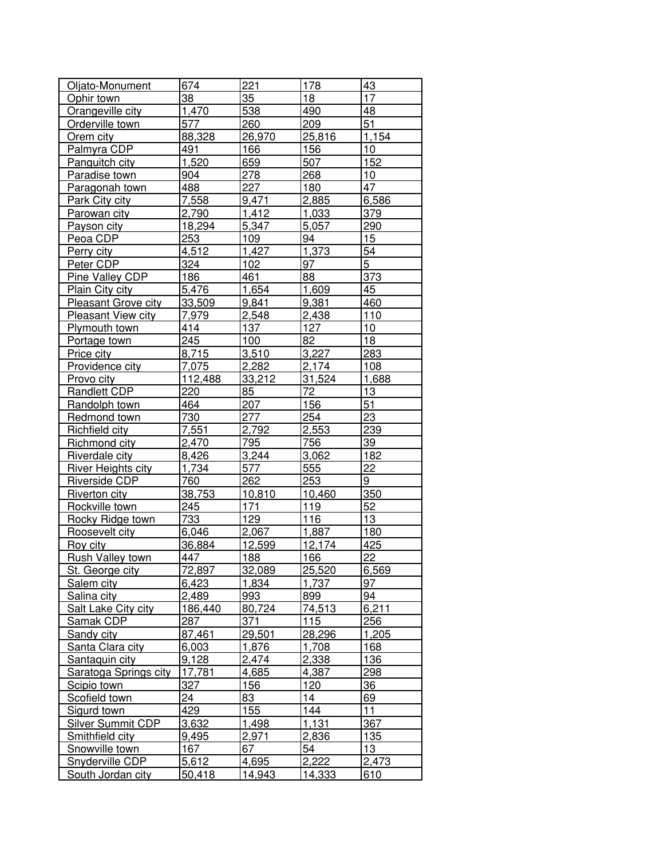| Oljato-Monument            | 674          | 221         | 178         | 43             |
|----------------------------|--------------|-------------|-------------|----------------|
| Ophir town                 | 38           | 35          | 18          | 17             |
| Orangeville city           | 1,470        | 538         | 490         | 48             |
| Orderville town            | 577          | 260         | 209         | 51             |
| Orem city                  | 88,328       | 26,970      | 25,816      | 1,154          |
| Palmyra CDP                | 491          | 166         | 156         | 10             |
| Panguitch city             | 1,520        | 659         | 507         | 152            |
| Paradise town              | 904          | 278         | 268         | 10             |
| Paragonah town             | 488          | 227         | 180         | 47             |
| <b>Park City city</b>      | 7,558        | 9,471       | 2,885       | 6,586          |
| Parowan city               | 2,790        | 1,412       | 1,033       | 379            |
| Payson city                | 18,294       | 5,347       | 5,057       | 290            |
| Peoa CDP                   | 253          | 109         | 94          | 15             |
| Perry city                 | 4,512        | 1,427       | 1,373       | 54             |
| Peter CDP                  | 324          | 102         | 97          | $\overline{5}$ |
| Pine Valley CDP            | 186          | 461         | 88          | 373            |
| Plain City city            | 5,476        | 1,654       | 1,609       | 45             |
| <b>Pleasant Grove city</b> | 33,509       | 9,841       | 9,381       | 460            |
| Pleasant View city         | 7.979        | 2,548       | 2,438       | 110            |
| Plymouth town              | 414          | 137         | 127         | 10             |
| Portage town               | 245          | 100         | 82          | 18             |
| Price city                 | 8,715        | 3,510       | 3,227       | 283            |
| Providence city            | 7,075        | 2,282       | 2,174       | 108            |
| Provo city                 | 112,488      | 33,212      | 31,524      | 1,688          |
| Randlett CDP               | 220          | 85          | 72          | 13             |
| Randolph town              | 464          | 207         | 156         | 51             |
| Redmond town               | 730          | 277         | 254         | 23             |
| Richfield city             | 7,551        | 2,792       | 2,553       | 239            |
| Richmond city              | 2,470        | 795         | 756         | 39             |
| Riverdale city             | 8,426        | 3,244       | 3,062       | 182            |
| River Heights city         | 1,734        | 577         | 555         | 22             |
| Riverside CDP              | 760          | 262         | 253         | 9              |
| Riverton city              | 38,753       | 10,810      | 10,460      | 350            |
| Rockville town             | 245          | 171         | 119         | 52             |
| Rocky Ridge town           | 733          | 129         | 116         | 13             |
| Roosevelt city             | 6,046        | 2,067       | 1,887       | 180            |
| Roy city                   | 36,884       | 12,599      | 12,174      | 425            |
| Rush Valley town           | 447          | 188         | 166         | 22             |
| St. George city            | 72,897       | 32,089      | 25,520      | 6,569          |
| Salem city                 | 6,423        | 1,834       | 1,737       | 97             |
| Salina city                | 2,489        | 993         | 899         | 94             |
| Salt Lake City city        | 186,440      | 80,724      | 74,513      | 6,211          |
| Samak CDP                  | 287          | 371         | 115         | 256            |
| Sandy city                 | 87,461       | 29,501      | 28,296      | 1,205          |
| Santa Clara city           | 6,003        | 1,876       | 1,708       | 168            |
| Santaquin city             | 9,128        | 2,474       | 2,338       | 136            |
| Saratoga Springs city      | 17,781       | 4,685       | 4,387       | 298            |
| Scipio town                | 327          | 156         | 120         | 36             |
| <b>Scofield town</b>       | 24           | 83          | 14          | 69             |
| Sigurd town                | 429          | 155         | 144         | 11             |
| <b>Silver Summit CDP</b>   | 3,632        | 1,498       | 1,131       | 367            |
|                            |              |             |             |                |
| Smithfield city            | 9,495<br>167 | 2,971<br>67 | 2,836<br>54 | 135<br>13      |
| Snowville town             |              |             |             |                |
| Snyderville CDP            | 5,612        | 4,695       | 2,222       | 2,473          |
| South Jordan city          | 50,418       | 14,943      | 14,333      | 610            |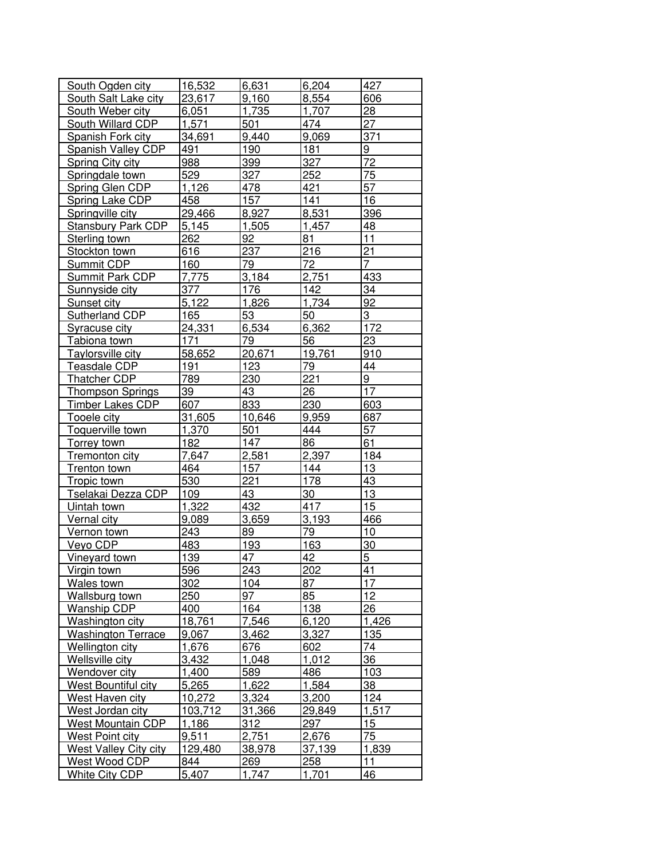| South Ogden city          | 16,532  | 6,631  | 6,204  | 427             |
|---------------------------|---------|--------|--------|-----------------|
| South Salt Lake city      | 23,617  | 9,160  | 8,554  | 606             |
|                           | 6,051   | 1,735  | 1,707  | 28              |
| South Weber city          |         |        |        |                 |
| South Willard CDP         | 1,571   | 501    | 474    | 27              |
| Spanish Fork city         | 34,691  | 9,440  | 9,069  | 371             |
| Spanish Valley CDP        | 491     | 190    | 181    | $\overline{9}$  |
| Spring City city          | 988     | 399    | 327    | $\overline{72}$ |
| Springdale town           | 529     | 327    | 252    | 75              |
| Spring Glen CDP           | 1,126   | 478    | 421    | 57              |
| <b>Spring Lake CDP</b>    | 458     | 157    | 141    | 16              |
| Springville city          | 29,466  | 8,927  | 8,531  | 396             |
| <b>Stansbury Park CDP</b> | 5,145   | 1,505  | 1,457  | 48              |
| Sterling town             | 262     | 92     | 81     | 11              |
| Stockton town             | 616     | 237    | 216    | 21              |
| Summit CDP                | 160     | 79     | 72     | $\overline{7}$  |
| Summit Park CDP           | 7,775   | 3,184  | 2,751  | 433             |
| Sunnyside city            | 377     | 176    | 142    | 34              |
| Sunset city               | 5,122   | 1,826  | 1,734  | 92              |
| Sutherland CDP            | 165     | 53     | 50     | 3               |
| Syracuse city             | 24,331  | 6,534  | 6,362  | 172             |
| Tabiona town              | 171     | 79     | 56     | 23              |
| Taylorsville city         | 58,652  | 20,671 | 19,761 | 910             |
| Teasdale CDP              | 191     | 123    | 79     | 44              |
| Thatcher CDP              | 789     | 230    | 221    | 9               |
| <b>Thompson Springs</b>   | 39      | 43     | 26     | 17              |
| Timber Lakes CDP          | 607     | 833    | 230    | 603             |
| <b>Tooele city</b>        | 31,605  | 10,646 | 9,959  | 687             |
| Toquerville town          | 1,370   | 501    | 444    | 57              |
| <b>Torrey town</b>        | 182     | 147    | 86     | 61              |
| Tremonton city            | 7,647   | 2,581  | 2,397  | 184             |
| Trenton town              | 464     | 157    | 144    | 13              |
| Tropic town               | 530     | 221    | 178    | 43              |
| Tselakai Dezza CDP        | 109     | 43     | 30     | 13              |
| Uintah town               | 1,322   | 432    | 417    | 15              |
| <b>Vernal city</b>        | 9,089   | 3,659  | 3,193  | 466             |
| Vernon town               | 243     | 89     | 79     | 10              |
| Veyo CDP                  | 483     | 193    | 163    | 30              |
| Vineyard town             | 139     | 47     | 42     | $\overline{5}$  |
| Virgin town               | 596     | 243    | 202    | 41              |
| Wales town                | 302     | 104    | 87     | 17              |
| Wallsburg town            | 250     | 97     | 85     | 12              |
| <b>Wanship CDP</b>        | 400     | 164    | 138    | 26              |
| Washington city           | 18,761  | 7,546  | 6,120  | 1,426           |
| <b>Washington Terrace</b> | 9,067   | 3,462  | 3,327  | 135             |
| Wellington city           | 1,676   | 676    | 602    | 74              |
| Wellsville city           | 3,432   | 1,048  | 1,012  | 36              |
| Wendover city             | 1,400   | 589    | 486    | 103             |
| West Bountiful city       | 5,265   | 1,622  | 1,584  | 38              |
| West Haven city           | 10,272  | 3,324  | 3,200  | 124             |
| West Jordan city          | 103,712 | 31,366 | 29,849 | 1,517           |
| <b>West Mountain CDP</b>  | 1,186   | 312    | 297    | 15              |
| West Point city           | 9,511   | 2,751  | 2,676  | 75              |
| West Valley City city     | 129,480 | 38,978 | 37,139 | 1,839           |
| West Wood CDP             | 844     | 269    | 258    | 11              |
| White City CDP            | 5,407   | 1,747  | 1,701  | 46              |